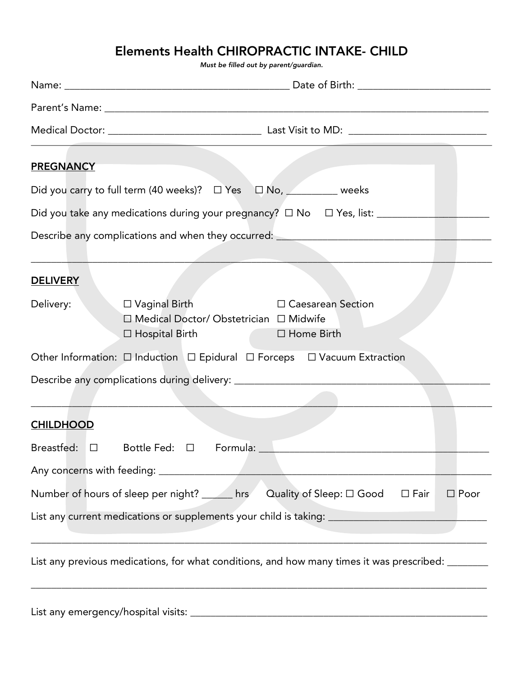# Elements Health CHIROPRACTIC INTAKE- CHILD

*Must be filled out by parent/guardian.*

| <b>PREGNANCY</b> |                                                                                                                                                                        |             |  |  |
|------------------|------------------------------------------------------------------------------------------------------------------------------------------------------------------------|-------------|--|--|
|                  | Did you carry to full term (40 weeks)? □ Yes □ No, <u>Manageneeks</u>                                                                                                  |             |  |  |
|                  | Did you take any medications during your pregnancy? □ No □ Yes, list: __________                                                                                       |             |  |  |
|                  | Describe any complications and when they occurred: _____________________________                                                                                       |             |  |  |
| <b>DELIVERY</b>  |                                                                                                                                                                        |             |  |  |
| Delivery:        | $\Box$ Vaginal Birth<br>$\Box$ Caesarean Section<br>□ Medical Doctor/ Obstetrician □ Midwife<br><b>Contract Contract</b><br>$\Box$ Home Birth<br>$\Box$ Hospital Birth |             |  |  |
|                  | Other Information: □ Induction □ Epidural □ Forceps □ Vacuum Extraction                                                                                                |             |  |  |
|                  |                                                                                                                                                                        |             |  |  |
|                  |                                                                                                                                                                        |             |  |  |
| <b>CHILDHOOD</b> |                                                                                                                                                                        |             |  |  |
|                  |                                                                                                                                                                        |             |  |  |
|                  |                                                                                                                                                                        |             |  |  |
|                  | Quality of Sleep: $\square$ Good<br>Number of hours of sleep per night? ______ hrs<br>$\Box$ Fair                                                                      | $\Box$ Poor |  |  |
|                  | List any current medications or supplements your child is taking: _________________________________                                                                    |             |  |  |
|                  | List any previous medications, for what conditions, and how many times it was prescribed: ________                                                                     |             |  |  |
|                  |                                                                                                                                                                        |             |  |  |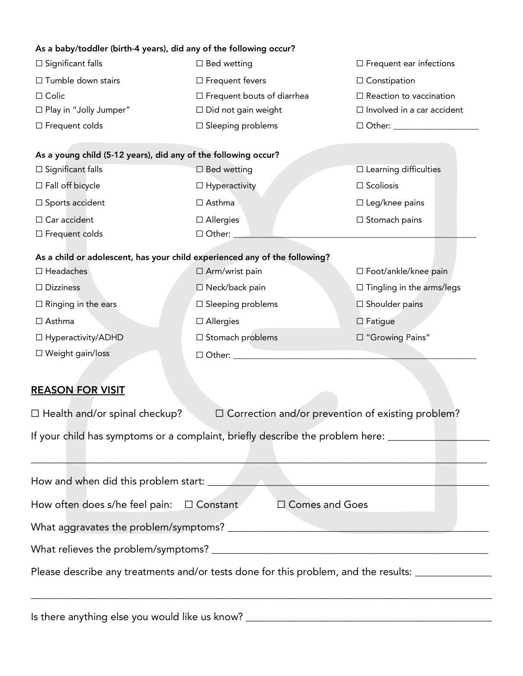| As a baby/toddler (birth-4 years), did any of the following occur?         |                                                                                                                      |                                   |  |
|----------------------------------------------------------------------------|----------------------------------------------------------------------------------------------------------------------|-----------------------------------|--|
| $\square$ Significant falls                                                | $\square$ Bed wetting                                                                                                | $\Box$ Frequent ear infections    |  |
| □ Tumble down stairs                                                       | $\Box$ Frequent fevers                                                                                               | $\Box$ Constipation               |  |
| $\square$ Colic                                                            | $\Box$ Frequent bouts of diarrhea                                                                                    | $\Box$ Reaction to vaccination    |  |
| $\Box$ Play in "Jolly Jumper"                                              | $\Box$ Did not gain weight                                                                                           | $\Box$ Involved in a car accident |  |
| $\Box$ Frequent colds                                                      | $\Box$ Sleeping problems                                                                                             |                                   |  |
|                                                                            |                                                                                                                      |                                   |  |
| As a young child (5-12 years), did any of the following occur?             |                                                                                                                      |                                   |  |
| $\square$ Significant falls                                                | □ Bed wetting                                                                                                        | $\square$ Learning difficulties   |  |
| $\Box$ Fall off bicycle                                                    | $\Box$ Hyperactivity                                                                                                 | $\square$ Scoliosis               |  |
| $\square$ Sports accident                                                  | $\Box$ Asthma                                                                                                        | $\square$ Leg/knee pains          |  |
| $\Box$ Car accident                                                        | $\Box$ Allergies                                                                                                     | $\Box$ Stomach pains              |  |
| $\square$ Frequent colds                                                   | $\Box$ Other: $\Box$                                                                                                 |                                   |  |
| As a child or adolescent, has your child experienced any of the following? |                                                                                                                      |                                   |  |
| $\Box$ Headaches                                                           | □ Arm/wrist pain                                                                                                     | □ Foot/ankle/knee pain            |  |
| $\Box$ Dizziness                                                           | □ Neck/back pain                                                                                                     | $\Box$ Tingling in the arms/legs  |  |
| $\Box$ Ringing in the ears                                                 | $\Box$ Sleeping problems                                                                                             | $\square$ Shoulder pains          |  |
| $\Box$ Asthma                                                              | $\square$ Allergies                                                                                                  | $\Box$ Fatigue                    |  |
| □ Hyperactivity/ADHD                                                       | □ Stomach problems                                                                                                   | □ "Growing Pains"                 |  |
| □ Weight gain/loss                                                         | □ Other: ________________                                                                                            |                                   |  |
|                                                                            |                                                                                                                      |                                   |  |
| <b>REASON FOR VISIT</b>                                                    |                                                                                                                      |                                   |  |
|                                                                            |                                                                                                                      |                                   |  |
| $\Box$ Health and/or spinal checkup?                                       | $\Box$ Correction and/or prevention of existing problem?                                                             |                                   |  |
|                                                                            | If your child has symptoms or a complaint, briefly describe the problem here: ________________________________       |                                   |  |
|                                                                            |                                                                                                                      |                                   |  |
|                                                                            | the contract of the contract of the contract of the contract of the contract of the contract of the contract of      |                                   |  |
|                                                                            | How and when did this problem start: New York Contract and Security Assembly and Manual Assembly and Manual Assembly |                                   |  |
|                                                                            |                                                                                                                      |                                   |  |
| How often does s/he feel pain: $\Box$ Constant                             | □ Comes and Goes                                                                                                     |                                   |  |
|                                                                            |                                                                                                                      |                                   |  |
|                                                                            |                                                                                                                      |                                   |  |
|                                                                            | Please describe any treatments and/or tests done for this problem, and the results: ________________                 |                                   |  |
|                                                                            |                                                                                                                      |                                   |  |
|                                                                            |                                                                                                                      |                                   |  |

Is there anything else you would like us know? \_\_\_\_\_\_\_\_\_\_\_\_\_\_\_\_\_\_\_\_\_\_\_\_\_\_\_\_\_\_\_\_\_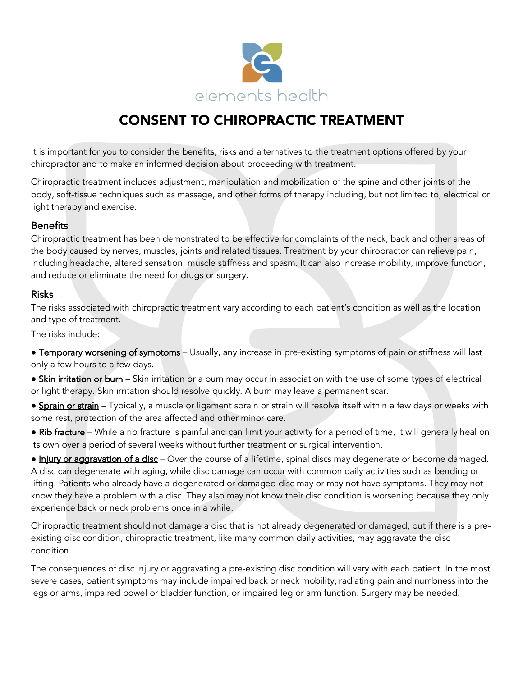

# CONSENT TO CHIROPRACTIC TREATMENT

It is important for you to consider the benefits, risks and alternatives to the treatment options offered by your chiropractor and to make an informed decision about proceeding with treatment.

Chiropractic treatment includes adjustment, manipulation and mobilization of the spine and other joints of the body, soft-tissue techniques such as massage, and other forms of therapy including, but not limited to, electrical or light therapy and exercise.

## **Benefits**

Chiropractic treatment has been demonstrated to be effective for complaints of the neck, back and other areas of the body caused by nerves, muscles, joints and related tissues. Treatment by your chiropractor can relieve pain, including headache, altered sensation, muscle stiffness and spasm. It can also increase mobility, improve function, and reduce or eliminate the need for drugs or surgery.

## Risks

The risks associated with chiropractic treatment vary according to each patient's condition as well as the location and type of treatment.

The risks include:

**• Temporary worsening of symptoms** – Usually, any increase in pre-existing symptoms of pain or stiffness will last only a few hours to a few days.

• Skin irritation or bum - Skin irritation or a burn may occur in association with the use of some types of electrical or light therapy. Skin irritation should resolve quickly. A burn may leave a permanent scar.

- Sprain or strain Typically, a muscle or ligament sprain or strain will resolve itself within a few days or weeks with some rest, protection of the area affected and other minor care.
- Rib fracture While a rib fracture is painful and can limit your activity for a period of time, it will generally heal on its own over a period of several weeks without further treatment or surgical intervention.

• Injury or aggravation of a disc – Over the course of a lifetime, spinal discs may degenerate or become damaged. A disc can degenerate with aging, while disc damage can occur with common daily activities such as bending or lifting. Patients who already have a degenerated or damaged disc may or may not have symptoms. They may not know they have a problem with a disc. They also may not know their disc condition is worsening because they only experience back or neck problems once in a while.

Chiropractic treatment should not damage a disc that is not already degenerated or damaged, but if there is a preexisting disc condition, chiropractic treatment, like many common daily activities, may aggravate the disc condition.

The consequences of disc injury or aggravating a pre-existing disc condition will vary with each patient. In the most severe cases, patient symptoms may include impaired back or neck mobility, radiating pain and numbness into the legs or arms, impaired bowel or bladder function, or impaired leg or arm function. Surgery may be needed.